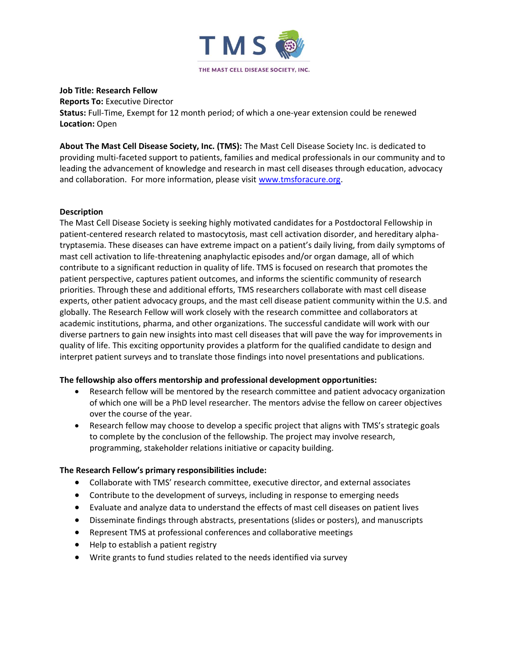

### **Job Title: Research Fellow**

**Reports To:** Executive Director

**Status:** Full-Time, Exempt for 12 month period; of which a one-year extension could be renewed **Location:** Open

**About The Mast Cell Disease Society, Inc. (TMS):** The Mast Cell Disease Society Inc. is dedicated to providing multi-faceted support to patients, families and medical professionals in our community and to leading the advancement of knowledge and research in mast cell diseases through education, advocacy and collaboration. For more information, please visit [www.tmsforacure.org.](http://www.tmsforacure.org/)

# **Description**

The Mast Cell Disease Society is seeking highly motivated candidates for a Postdoctoral Fellowship in patient-centered research related to mastocytosis, mast cell activation disorder, and hereditary alphatryptasemia. These diseases can have extreme impact on a patient's daily living, from daily symptoms of mast cell activation to life-threatening anaphylactic episodes and/or organ damage, all of which contribute to a significant reduction in quality of life. TMS is focused on research that promotes the patient perspective, captures patient outcomes, and informs the scientific community of research priorities. Through these and additional efforts, TMS researchers collaborate with mast cell disease experts, other patient advocacy groups, and the mast cell disease patient community within the U.S. and globally. The Research Fellow will work closely with the research committee and collaborators at academic institutions, pharma, and other organizations. The successful candidate will work with our diverse partners to gain new insights into mast cell diseases that will pave the way for improvements in quality of life. This exciting opportunity provides a platform for the qualified candidate to design and interpret patient surveys and to translate those findings into novel presentations and publications.

# **The fellowship also offers mentorship and professional development opportunities:**

- Research fellow will be mentored by the research committee and patient advocacy organization of which one will be a PhD level researcher. The mentors advise the fellow on career objectives over the course of the year.
- Research fellow may choose to develop a specific project that aligns with TMS's strategic goals to complete by the conclusion of the fellowship. The project may involve research, programming, stakeholder relations initiative or capacity building.

# **The Research Fellow's primary responsibilities include:**

- Collaborate with TMS' research committee, executive director, and external associates
- Contribute to the development of surveys, including in response to emerging needs
- Evaluate and analyze data to understand the effects of mast cell diseases on patient lives
- Disseminate findings through abstracts, presentations (slides or posters), and manuscripts
- Represent TMS at professional conferences and collaborative meetings
- Help to establish a patient registry
- Write grants to fund studies related to the needs identified via survey